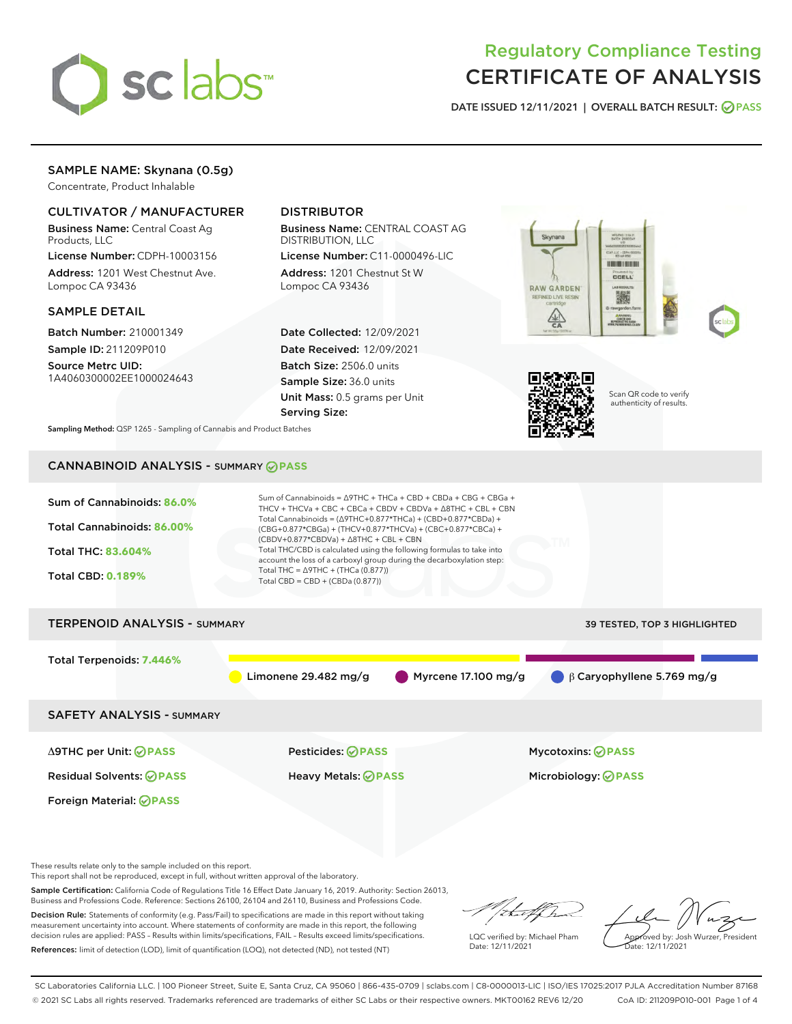

# Regulatory Compliance Testing CERTIFICATE OF ANALYSIS

DATE ISSUED 12/11/2021 | OVERALL BATCH RESULT: @ PASS

# SAMPLE NAME: Skynana (0.5g)

Concentrate, Product Inhalable

# CULTIVATOR / MANUFACTURER

Business Name: Central Coast Ag Products, LLC

License Number: CDPH-10003156 Address: 1201 West Chestnut Ave. Lompoc CA 93436

## SAMPLE DETAIL

Batch Number: 210001349 Sample ID: 211209P010

Source Metrc UID: 1A4060300002EE1000024643

# DISTRIBUTOR

Business Name: CENTRAL COAST AG DISTRIBUTION, LLC

License Number: C11-0000496-LIC Address: 1201 Chestnut St W Lompoc CA 93436

Date Collected: 12/09/2021 Date Received: 12/09/2021 Batch Size: 2506.0 units Sample Size: 36.0 units Unit Mass: 0.5 grams per Unit Serving Size:







Scan QR code to verify authenticity of results.

Sampling Method: QSP 1265 - Sampling of Cannabis and Product Batches

# CANNABINOID ANALYSIS - SUMMARY **PASS**

| Sum of Cannabinoids: 86.0%<br>Total Cannabinoids: 86.00%<br><b>Total THC: 83.604%</b><br><b>Total CBD: 0.189%</b> | Sum of Cannabinoids = ∆9THC + THCa + CBD + CBDa + CBG + CBGa +<br>THCV + THCVa + CBC + CBCa + CBDV + CBDVa + $\triangle$ 8THC + CBL + CBN<br>Total Cannabinoids = $(\Delta 9THC + 0.877*THCa) + (CBD + 0.877*CBDa) +$<br>(CBG+0.877*CBGa) + (THCV+0.877*THCVa) + (CBC+0.877*CBCa) +<br>$(CBDV+0.877*CBDVa) + \Delta 8THC + CBL + CBN$<br>Total THC/CBD is calculated using the following formulas to take into<br>account the loss of a carboxyl group during the decarboxylation step:<br>Total THC = $\triangle$ 9THC + (THCa (0.877))<br>Total CBD = $CBD + (CBDa (0.877))$ |                                  |
|-------------------------------------------------------------------------------------------------------------------|--------------------------------------------------------------------------------------------------------------------------------------------------------------------------------------------------------------------------------------------------------------------------------------------------------------------------------------------------------------------------------------------------------------------------------------------------------------------------------------------------------------------------------------------------------------------------------|----------------------------------|
| <b>TERPENOID ANALYSIS - SUMMARY</b>                                                                               |                                                                                                                                                                                                                                                                                                                                                                                                                                                                                                                                                                                | 39 TESTED, TOP 3 HIGHLIGHTED     |
| Total Terpenoids: 7.446%                                                                                          | Myrcene 17.100 mg/g<br>Limonene 29.482 mg/g                                                                                                                                                                                                                                                                                                                                                                                                                                                                                                                                    | $\beta$ Caryophyllene 5.769 mg/g |
| <b>SAFETY ANALYSIS - SUMMARY</b>                                                                                  |                                                                                                                                                                                                                                                                                                                                                                                                                                                                                                                                                                                |                                  |
| ∆9THC per Unit: ⊘PASS                                                                                             | <b>Pesticides: ⊘ PASS</b>                                                                                                                                                                                                                                                                                                                                                                                                                                                                                                                                                      | <b>Mycotoxins: ⊘PASS</b>         |
| <b>Residual Solvents: ⊘PASS</b>                                                                                   | <b>Heavy Metals: ⊘ PASS</b>                                                                                                                                                                                                                                                                                                                                                                                                                                                                                                                                                    | Microbiology: @PASS              |
| Foreign Material: <b>⊘ PASS</b>                                                                                   |                                                                                                                                                                                                                                                                                                                                                                                                                                                                                                                                                                                |                                  |
|                                                                                                                   |                                                                                                                                                                                                                                                                                                                                                                                                                                                                                                                                                                                |                                  |

These results relate only to the sample included on this report.

This report shall not be reproduced, except in full, without written approval of the laboratory.

Sample Certification: California Code of Regulations Title 16 Effect Date January 16, 2019. Authority: Section 26013, Business and Professions Code. Reference: Sections 26100, 26104 and 26110, Business and Professions Code.

Decision Rule: Statements of conformity (e.g. Pass/Fail) to specifications are made in this report without taking measurement uncertainty into account. Where statements of conformity are made in this report, the following decision rules are applied: PASS – Results within limits/specifications, FAIL – Results exceed limits/specifications. References: limit of detection (LOD), limit of quantification (LOQ), not detected (ND), not tested (NT)

Withat f ha

LQC verified by: Michael Pham Date: 12/11/2021

Approved by: Josh Wurzer, President Date: 12/11/2021

SC Laboratories California LLC. | 100 Pioneer Street, Suite E, Santa Cruz, CA 95060 | 866-435-0709 | sclabs.com | C8-0000013-LIC | ISO/IES 17025:2017 PJLA Accreditation Number 87168 © 2021 SC Labs all rights reserved. Trademarks referenced are trademarks of either SC Labs or their respective owners. MKT00162 REV6 12/20 CoA ID: 211209P010-001 Page 1 of 4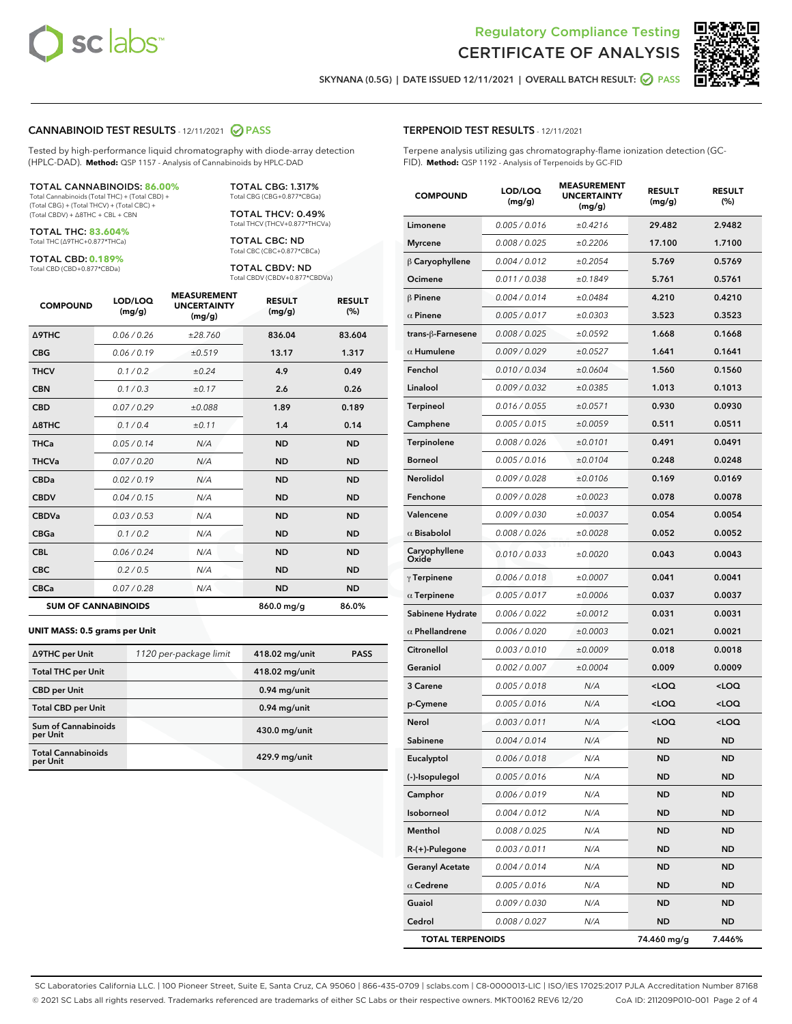

Terpene analysis utilizing gas chromatography-flame ionization detection (GC-



SKYNANA (0.5G) | DATE ISSUED 12/11/2021 | OVERALL BATCH RESULT: 2 PASS

TERPENOID TEST RESULTS - 12/11/2021

FID). **Method:** QSP 1192 - Analysis of Terpenoids by GC-FID

### CANNABINOID TEST RESULTS - 12/11/2021 2 PASS

Tested by high-performance liquid chromatography with diode-array detection (HPLC-DAD). **Method:** QSP 1157 - Analysis of Cannabinoids by HPLC-DAD

#### TOTAL CANNABINOIDS: **86.00%**

Total Cannabinoids (Total THC) + (Total CBD) + (Total CBG) + (Total THCV) + (Total CBC) + (Total CBDV) + ∆8THC + CBL + CBN

TOTAL THC: **83.604%** Total THC (∆9THC+0.877\*THCa)

TOTAL CBD: **0.189%**

Total CBD (CBD+0.877\*CBDa)

TOTAL CBG: 1.317% Total CBG (CBG+0.877\*CBGa)

TOTAL THCV: 0.49% Total THCV (THCV+0.877\*THCVa)

TOTAL CBC: ND Total CBC (CBC+0.877\*CBCa)

TOTAL CBDV: ND Total CBDV (CBDV+0.877\*CBDVa)

| <b>COMPOUND</b>            | LOD/LOQ<br>(mg/g) | <b>MEASUREMENT</b><br><b>UNCERTAINTY</b><br>(mg/g) | <b>RESULT</b><br>(mg/g) | <b>RESULT</b><br>(%) |
|----------------------------|-------------------|----------------------------------------------------|-------------------------|----------------------|
| <b>A9THC</b>               | 0.06 / 0.26       | ±28.760                                            | 836.04                  | 83.604               |
| <b>CBG</b>                 | 0.06/0.19         | ±0.519                                             | 13.17                   | 1.317                |
| <b>THCV</b>                | 0.1 / 0.2         | ±0.24                                              | 4.9                     | 0.49                 |
| <b>CBN</b>                 | 0.1/0.3           | ±0.17                                              | 2.6                     | 0.26                 |
| <b>CBD</b>                 | 0.07/0.29         | ±0.088                                             | 1.89                    | 0.189                |
| $\triangle$ 8THC           | 0.1/0.4           | ±0.11                                              | 1.4                     | 0.14                 |
| <b>THCa</b>                | 0.05/0.14         | N/A                                                | <b>ND</b>               | <b>ND</b>            |
| <b>THCVa</b>               | 0.07/0.20         | N/A                                                | <b>ND</b>               | <b>ND</b>            |
| <b>CBDa</b>                | 0.02/0.19         | N/A                                                | <b>ND</b>               | <b>ND</b>            |
| <b>CBDV</b>                | 0.04/0.15         | N/A                                                | <b>ND</b>               | <b>ND</b>            |
| <b>CBDVa</b>               | 0.03/0.53         | N/A                                                | <b>ND</b>               | <b>ND</b>            |
| <b>CBGa</b>                | 0.1/0.2           | N/A                                                | <b>ND</b>               | <b>ND</b>            |
| <b>CBL</b>                 | 0.06 / 0.24       | N/A                                                | <b>ND</b>               | <b>ND</b>            |
| <b>CBC</b>                 | 0.2 / 0.5         | N/A                                                | <b>ND</b>               | <b>ND</b>            |
| <b>CBCa</b>                | 0.07/0.28         | N/A                                                | <b>ND</b>               | <b>ND</b>            |
| <b>SUM OF CANNABINOIDS</b> |                   |                                                    | 860.0 mg/g              | 86.0%                |

#### **UNIT MASS: 0.5 grams per Unit**

| ∆9THC per Unit                         | 1120 per-package limit | 418.02 mg/unit | <b>PASS</b> |
|----------------------------------------|------------------------|----------------|-------------|
| <b>Total THC per Unit</b>              |                        | 418.02 mg/unit |             |
| <b>CBD</b> per Unit                    |                        | $0.94$ mg/unit |             |
| <b>Total CBD per Unit</b>              |                        | $0.94$ mg/unit |             |
| <b>Sum of Cannabinoids</b><br>per Unit |                        | 430.0 mg/unit  |             |
| <b>Total Cannabinoids</b><br>per Unit  |                        | 429.9 mg/unit  |             |

| <b>COMPOUND</b>         | LOD/LOQ<br>(mg/g) | <b>MEASUREMENT</b><br><b>UNCERTAINTY</b><br>(mg/g) | <b>RESULT</b><br>(mg/g)                         | <b>RESULT</b><br>(%) |
|-------------------------|-------------------|----------------------------------------------------|-------------------------------------------------|----------------------|
| Limonene                | 0.005 / 0.016     | ±0.4216                                            | 29.482                                          | 2.9482               |
| <b>Myrcene</b>          | 0.008 / 0.025     | ±0.2206                                            | 17.100                                          | 1.7100               |
| $\beta$ Caryophyllene   | 0.004 / 0.012     | ±0.2054                                            | 5.769                                           | 0.5769               |
| Ocimene                 | 0.011 / 0.038     | ±0.1849                                            | 5.761                                           | 0.5761               |
| $\beta$ Pinene          | 0.004 / 0.014     | ±0.0484                                            | 4.210                                           | 0.4210               |
| $\alpha$ Pinene         | 0.005 / 0.017     | ±0.0303                                            | 3.523                                           | 0.3523               |
| trans-ß-Farnesene       | 0.008 / 0.025     | ±0.0592                                            | 1.668                                           | 0.1668               |
| $\alpha$ Humulene       | 0.009 / 0.029     | ±0.0527                                            | 1.641                                           | 0.1641               |
| Fenchol                 | 0.010 / 0.034     | ±0.0604                                            | 1.560                                           | 0.1560               |
| Linalool                | 0.009 / 0.032     | ±0.0385                                            | 1.013                                           | 0.1013               |
| Terpineol               | 0.016 / 0.055     | ±0.0571                                            | 0.930                                           | 0.0930               |
| Camphene                | 0.005 / 0.015     | ±0.0059                                            | 0.511                                           | 0.0511               |
| Terpinolene             | 0.008 / 0.026     | ±0.0101                                            | 0.491                                           | 0.0491               |
| Borneol                 | 0.005 / 0.016     | ±0.0104                                            | 0.248                                           | 0.0248               |
| <b>Nerolidol</b>        | 0.009 / 0.028     | ±0.0106                                            | 0.169                                           | 0.0169               |
| Fenchone                | 0.009 / 0.028     | ±0.0023                                            | 0.078                                           | 0.0078               |
| Valencene               | 0.009 / 0.030     | ±0.0037                                            | 0.054                                           | 0.0054               |
| $\alpha$ Bisabolol      | 0.008 / 0.026     | ±0.0028                                            | 0.052                                           | 0.0052               |
| Caryophyllene<br>Oxide  | 0.010 / 0.033     | ±0.0020                                            | 0.043                                           | 0.0043               |
| $\gamma$ Terpinene      | 0.006 / 0.018     | ±0.0007                                            | 0.041                                           | 0.0041               |
| $\alpha$ Terpinene      | 0.005 / 0.017     | ±0.0006                                            | 0.037                                           | 0.0037               |
| Sabinene Hydrate        | 0.006 / 0.022     | ±0.0012                                            | 0.031                                           | 0.0031               |
| $\alpha$ Phellandrene   | 0.006 / 0.020     | ±0.0003                                            | 0.021                                           | 0.0021               |
| Citronellol             | 0.003 / 0.010     | ±0.0009                                            | 0.018                                           | 0.0018               |
| Geraniol                | 0.002 / 0.007     | ±0.0004                                            | 0.009                                           | 0.0009               |
| 3 Carene                | 0.005 / 0.018     | N/A                                                | <loq< th=""><th><loq< th=""></loq<></th></loq<> | <loq< th=""></loq<>  |
| p-Cymene                | 0.005 / 0.016     | N/A                                                | $<$ LOQ                                         | <loq< th=""></loq<>  |
| Nerol                   | 0.003 / 0.011     | N/A                                                | <loq< th=""><th><loq< th=""></loq<></th></loq<> | <loq< th=""></loq<>  |
| Sabinene                | 0.004 / 0.014     | N/A                                                | <b>ND</b>                                       | <b>ND</b>            |
| Eucalyptol              | 0.006 / 0.018     | N/A                                                | ND                                              | <b>ND</b>            |
| (-)-Isopulegol          | 0.005 / 0.016     | N/A                                                | ND                                              | ND                   |
| Camphor                 | 0.006 / 0.019     | N/A                                                | ND                                              | ND                   |
| Isoborneol              | 0.004 / 0.012     | N/A                                                | <b>ND</b>                                       | <b>ND</b>            |
| Menthol                 | 0.008 / 0.025     | N/A                                                | <b>ND</b>                                       | ND                   |
| $R-(+)$ -Pulegone       | 0.003 / 0.011     | N/A                                                | ND                                              | ND                   |
| <b>Geranyl Acetate</b>  | 0.004 / 0.014     | N/A                                                | <b>ND</b>                                       | <b>ND</b>            |
| $\alpha$ Cedrene        | 0.005 / 0.016     | N/A                                                | <b>ND</b>                                       | ND                   |
| Guaiol                  | 0.009 / 0.030     | N/A                                                | ND                                              | ND                   |
| Cedrol                  | 0.008 / 0.027     | N/A                                                | <b>ND</b>                                       | ND                   |
| <b>TOTAL TERPENOIDS</b> |                   |                                                    | 74.460 mg/g                                     | 7.446%               |

SC Laboratories California LLC. | 100 Pioneer Street, Suite E, Santa Cruz, CA 95060 | 866-435-0709 | sclabs.com | C8-0000013-LIC | ISO/IES 17025:2017 PJLA Accreditation Number 87168 © 2021 SC Labs all rights reserved. Trademarks referenced are trademarks of either SC Labs or their respective owners. MKT00162 REV6 12/20 CoA ID: 211209P010-001 Page 2 of 4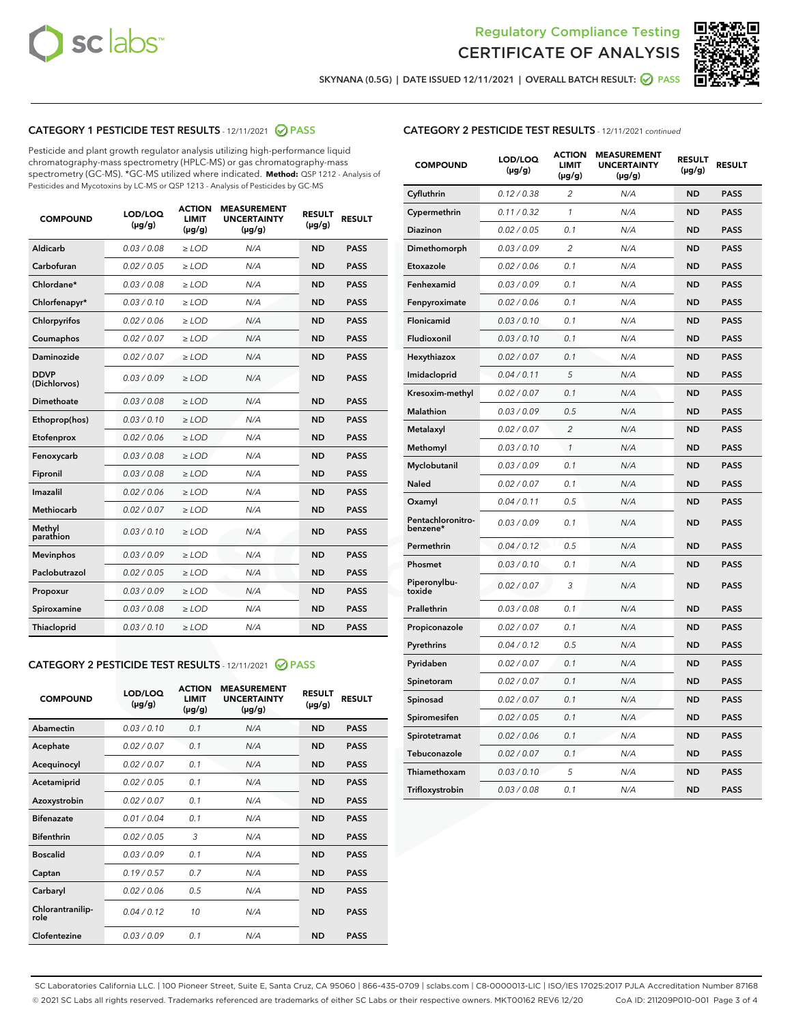



SKYNANA (0.5G) | DATE ISSUED 12/11/2021 | OVERALL BATCH RESULT: O PASS

# CATEGORY 1 PESTICIDE TEST RESULTS - 12/11/2021 2 PASS

Pesticide and plant growth regulator analysis utilizing high-performance liquid chromatography-mass spectrometry (HPLC-MS) or gas chromatography-mass spectrometry (GC-MS). \*GC-MS utilized where indicated. **Method:** QSP 1212 - Analysis of Pesticides and Mycotoxins by LC-MS or QSP 1213 - Analysis of Pesticides by GC-MS

| <b>COMPOUND</b>             | LOD/LOQ<br>$(\mu g/g)$ | <b>ACTION</b><br><b>LIMIT</b><br>$(\mu g/g)$ | <b>MEASUREMENT</b><br><b>UNCERTAINTY</b><br>$(\mu g/g)$ | <b>RESULT</b><br>$(\mu g/g)$ | <b>RESULT</b> |
|-----------------------------|------------------------|----------------------------------------------|---------------------------------------------------------|------------------------------|---------------|
| Aldicarb                    | 0.03 / 0.08            | $\ge$ LOD                                    | N/A                                                     | <b>ND</b>                    | <b>PASS</b>   |
| Carbofuran                  | 0.02 / 0.05            | $\ge$ LOD                                    | N/A                                                     | <b>ND</b>                    | <b>PASS</b>   |
| Chlordane*                  | 0.03 / 0.08            | $\ge$ LOD                                    | N/A                                                     | <b>ND</b>                    | <b>PASS</b>   |
| Chlorfenapyr*               | 0.03/0.10              | $\ge$ LOD                                    | N/A                                                     | <b>ND</b>                    | <b>PASS</b>   |
| Chlorpyrifos                | 0.02 / 0.06            | $\ge$ LOD                                    | N/A                                                     | <b>ND</b>                    | <b>PASS</b>   |
| Coumaphos                   | 0.02 / 0.07            | $\ge$ LOD                                    | N/A                                                     | <b>ND</b>                    | <b>PASS</b>   |
| Daminozide                  | 0.02/0.07              | $\ge$ LOD                                    | N/A                                                     | <b>ND</b>                    | <b>PASS</b>   |
| <b>DDVP</b><br>(Dichlorvos) | 0.03/0.09              | $>$ LOD                                      | N/A                                                     | <b>ND</b>                    | <b>PASS</b>   |
| Dimethoate                  | 0.03 / 0.08            | $\ge$ LOD                                    | N/A                                                     | <b>ND</b>                    | <b>PASS</b>   |
| Ethoprop(hos)               | 0.03/0.10              | $>$ LOD                                      | N/A                                                     | <b>ND</b>                    | <b>PASS</b>   |
| Etofenprox                  | 0.02 / 0.06            | $\ge$ LOD                                    | N/A                                                     | <b>ND</b>                    | <b>PASS</b>   |
| Fenoxycarb                  | 0.03 / 0.08            | $\ge$ LOD                                    | N/A                                                     | <b>ND</b>                    | <b>PASS</b>   |
| Fipronil                    | 0.03/0.08              | $>$ LOD                                      | N/A                                                     | <b>ND</b>                    | <b>PASS</b>   |
| Imazalil                    | 0.02 / 0.06            | $\ge$ LOD                                    | N/A                                                     | <b>ND</b>                    | <b>PASS</b>   |
| <b>Methiocarb</b>           | 0.02 / 0.07            | $\ge$ LOD                                    | N/A                                                     | <b>ND</b>                    | <b>PASS</b>   |
| Methyl<br>parathion         | 0.03/0.10              | $\ge$ LOD                                    | N/A                                                     | <b>ND</b>                    | <b>PASS</b>   |
| <b>Mevinphos</b>            | 0.03/0.09              | $\ge$ LOD                                    | N/A                                                     | <b>ND</b>                    | <b>PASS</b>   |
| Paclobutrazol               | 0.02 / 0.05            | $\ge$ LOD                                    | N/A                                                     | <b>ND</b>                    | <b>PASS</b>   |
| Propoxur                    | 0.03/0.09              | $\ge$ LOD                                    | N/A                                                     | <b>ND</b>                    | <b>PASS</b>   |
| Spiroxamine                 | 0.03 / 0.08            | $\ge$ LOD                                    | N/A                                                     | <b>ND</b>                    | <b>PASS</b>   |
| Thiacloprid                 | 0.03/0.10              | $\ge$ LOD                                    | N/A                                                     | <b>ND</b>                    | <b>PASS</b>   |

#### CATEGORY 2 PESTICIDE TEST RESULTS - 12/11/2021 @ PASS

| <b>COMPOUND</b>          | LOD/LOO<br>$(\mu g/g)$ | <b>ACTION</b><br>LIMIT<br>$(\mu g/g)$ | <b>MEASUREMENT</b><br><b>UNCERTAINTY</b><br>$(\mu g/g)$ | <b>RESULT</b><br>$(\mu g/g)$ | <b>RESULT</b> |  |
|--------------------------|------------------------|---------------------------------------|---------------------------------------------------------|------------------------------|---------------|--|
| Abamectin                | 0.03/0.10              | 0.1                                   | N/A                                                     | <b>ND</b>                    | <b>PASS</b>   |  |
| Acephate                 | 0.02/0.07              | 0.1                                   | N/A                                                     | <b>ND</b>                    | <b>PASS</b>   |  |
| Acequinocyl              | 0.02/0.07              | 0.1                                   | N/A                                                     | <b>ND</b>                    | <b>PASS</b>   |  |
| Acetamiprid              | 0.02/0.05              | 0.1                                   | N/A                                                     | <b>ND</b>                    | <b>PASS</b>   |  |
| Azoxystrobin             | 0.02/0.07              | 0.1                                   | N/A                                                     | <b>ND</b>                    | <b>PASS</b>   |  |
| <b>Bifenazate</b>        | 0.01 / 0.04            | 0.1                                   | N/A                                                     | <b>ND</b>                    | <b>PASS</b>   |  |
| <b>Bifenthrin</b>        | 0.02 / 0.05            | 3                                     | N/A                                                     | <b>ND</b>                    | <b>PASS</b>   |  |
| <b>Boscalid</b>          | 0.03/0.09              | 0.1                                   | N/A                                                     | <b>ND</b>                    | <b>PASS</b>   |  |
| Captan                   | 0.19/0.57              | 07                                    | N/A                                                     | <b>ND</b>                    | <b>PASS</b>   |  |
| Carbaryl                 | 0.02/0.06              | 0.5                                   | N/A                                                     | <b>ND</b>                    | <b>PASS</b>   |  |
| Chlorantranilip-<br>role | 0.04/0.12              | 10                                    | N/A                                                     | <b>ND</b>                    | <b>PASS</b>   |  |
| Clofentezine             | 0 03 / 0 09            | 0 <sub>1</sub>                        | N/A                                                     | <b>ND</b>                    | <b>PASS</b>   |  |

| <b>CATEGORY 2 PESTICIDE TEST RESULTS</b> - 12/11/2021 continued |  |  |
|-----------------------------------------------------------------|--|--|
|                                                                 |  |  |

| <b>COMPOUND</b>               | LOD/LOQ<br>(µg/g) | <b>ACTION</b><br><b>LIMIT</b><br>(µg/g) | <b>MEASUREMENT</b><br><b>UNCERTAINTY</b><br>$(\mu g/g)$ | <b>RESULT</b><br>(µg/g) | <b>RESULT</b> |
|-------------------------------|-------------------|-----------------------------------------|---------------------------------------------------------|-------------------------|---------------|
| Cyfluthrin                    | 0.12 / 0.38       | $\overline{c}$                          | N/A                                                     | ND                      | <b>PASS</b>   |
| Cypermethrin                  | 0.11/0.32         | 1                                       | N/A                                                     | ND                      | <b>PASS</b>   |
| <b>Diazinon</b>               | 0.02 / 0.05       | 0.1                                     | N/A                                                     | ND                      | <b>PASS</b>   |
| Dimethomorph                  | 0.03 / 0.09       | 2                                       | N/A                                                     | <b>ND</b>               | <b>PASS</b>   |
| Etoxazole                     | 0.02 / 0.06       | 0.1                                     | N/A                                                     | ND                      | <b>PASS</b>   |
| Fenhexamid                    | 0.03 / 0.09       | 0.1                                     | N/A                                                     | <b>ND</b>               | <b>PASS</b>   |
| Fenpyroximate                 | 0.02 / 0.06       | 0.1                                     | N/A                                                     | ND                      | <b>PASS</b>   |
| Flonicamid                    | 0.03 / 0.10       | 0.1                                     | N/A                                                     | ND                      | <b>PASS</b>   |
| Fludioxonil                   | 0.03 / 0.10       | 0.1                                     | N/A                                                     | ND                      | <b>PASS</b>   |
| Hexythiazox                   | 0.02 / 0.07       | 0.1                                     | N/A                                                     | ND                      | <b>PASS</b>   |
| Imidacloprid                  | 0.04 / 0.11       | 5                                       | N/A                                                     | ND                      | <b>PASS</b>   |
| Kresoxim-methyl               | 0.02 / 0.07       | 0.1                                     | N/A                                                     | ND                      | <b>PASS</b>   |
| Malathion                     | 0.03 / 0.09       | 0.5                                     | N/A                                                     | <b>ND</b>               | <b>PASS</b>   |
| Metalaxyl                     | 0.02 / 0.07       | $\overline{c}$                          | N/A                                                     | ND                      | <b>PASS</b>   |
| Methomyl                      | 0.03 / 0.10       | 1                                       | N/A                                                     | <b>ND</b>               | <b>PASS</b>   |
| Myclobutanil                  | 0.03 / 0.09       | 0.1                                     | N/A                                                     | <b>ND</b>               | <b>PASS</b>   |
| Naled                         | 0.02 / 0.07       | 0.1                                     | N/A                                                     | <b>ND</b>               | <b>PASS</b>   |
| Oxamyl                        | 0.04 / 0.11       | 0.5                                     | N/A                                                     | <b>ND</b>               | <b>PASS</b>   |
| Pentachloronitro-<br>benzene* | 0.03/0.09         | 0.1                                     | N/A                                                     | ND                      | <b>PASS</b>   |
| Permethrin                    | 0.04 / 0.12       | 0.5                                     | N/A                                                     | <b>ND</b>               | <b>PASS</b>   |
| Phosmet                       | 0.03 / 0.10       | 0.1                                     | N/A                                                     | ND                      | <b>PASS</b>   |
| Piperonylbu-<br>toxide        | 0.02 / 0.07       | 3                                       | N/A                                                     | <b>ND</b>               | <b>PASS</b>   |
| Prallethrin                   | 0.03 / 0.08       | 0.1                                     | N/A                                                     | ND                      | <b>PASS</b>   |
| Propiconazole                 | 0.02 / 0.07       | 0.1                                     | N/A                                                     | <b>ND</b>               | <b>PASS</b>   |
| Pyrethrins                    | 0.04 / 0.12       | 0.5                                     | N/A                                                     | ND                      | <b>PASS</b>   |
| Pyridaben                     | 0.02 / 0.07       | 0.1                                     | N/A                                                     | ND                      | <b>PASS</b>   |
| Spinetoram                    | 0.02 / 0.07       | 0.1                                     | N/A                                                     | <b>ND</b>               | <b>PASS</b>   |
| Spinosad                      | 0.02 / 0.07       | 0.1                                     | N/A                                                     | <b>ND</b>               | <b>PASS</b>   |
| Spiromesifen                  | 0.02 / 0.05       | 0.1                                     | N/A                                                     | ND                      | <b>PASS</b>   |
| Spirotetramat                 | 0.02 / 0.06       | 0.1                                     | N/A                                                     | ND                      | <b>PASS</b>   |
| Tebuconazole                  | 0.02 / 0.07       | 0.1                                     | N/A                                                     | ND                      | <b>PASS</b>   |
| Thiamethoxam                  | 0.03 / 0.10       | 5                                       | N/A                                                     | ND                      | <b>PASS</b>   |
| Trifloxystrobin               | 0.03 / 0.08       | 0.1                                     | N/A                                                     | ND                      | <b>PASS</b>   |

SC Laboratories California LLC. | 100 Pioneer Street, Suite E, Santa Cruz, CA 95060 | 866-435-0709 | sclabs.com | C8-0000013-LIC | ISO/IES 17025:2017 PJLA Accreditation Number 87168 © 2021 SC Labs all rights reserved. Trademarks referenced are trademarks of either SC Labs or their respective owners. MKT00162 REV6 12/20 CoA ID: 211209P010-001 Page 3 of 4